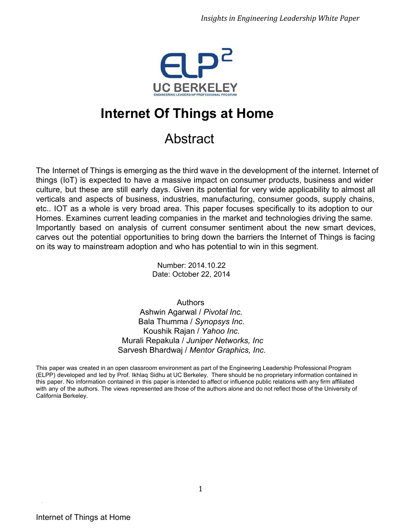

# **Internet Of Things at Home**

## Abstract

The Internet of Things is emerging as the third wave in the development of the internet. Internet of things (IoT) is expected to have a massive impact on consumer products, business and wider culture, but these are still early days. Given its potential for very wide applicability to almost all verticals and aspects of business, industries, manufacturing, consumer goods, supply chains, etc.. IOT as a whole is very broad area. This paper focuses specifically to its adoption to our Homes. Examines current leading companies in the market and technologies driving the same. Importantly based on analysis of current consumer sentiment about the new smart devices, carves out the potential opportunities to bring down the barriers the Internet of Things is facing on its way to mainstream adoption and who has potential to win in this segment.

> Number: 2014.10.22 Date: October 22, 2014

Authors Ashwin Agarwal / *Pivotal Inc.* Bala Thumma / *Synopsys Inc.* Koushik Rajan / *Yahoo Inc.* Murali Repakula / *Juniper Networks, Inc* Sarvesh Bhardwaj / *Mentor Graphics, Inc.*

This paper was created in an open classroom environment as part of the Engineering Leadership Professional Program (ELPP) developed and led by Prof. Ikhlaq Sidhu at UC Berkeley. There should be no proprietary information contained in this paper. No information contained in this paper is intended to affect or influence public relations with any firm affiliated with any of the authors. The views represented are those of the authors alone and do not reflect those of the University of California Berkeley.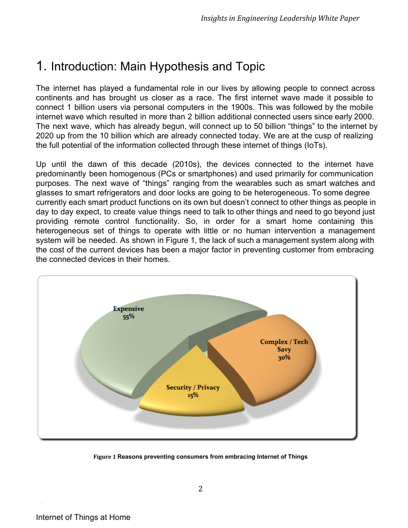### 1. Introduction: Main Hypothesis and Topic

The internet has played a fundamental role in our lives by allowing people to connect across continents and has brought us closer as a race. The first internet wave made it possible to connect 1 billion users via personal computers in the 1900s. This was followed by the mobile internet wave which resulted in more than 2 billion additional connected users since early 2000. The next wave, which has already begun, will connect up to 50 billion "things" to the internet by 2020 up from the 10 billion which are already connected today. We are at the cusp of realizing the full potential of the information collected through these internet of things (IoTs).

Up until the dawn of this decade (2010s), the devices connected to the internet have predominantly been homogenous (PCs or smartphones) and used primarily for communication purposes. The next wave of "things" ranging from the wearables such as smart watches and glasses to smart refrigerators and door locks are going to be heterogeneous. To some degree currently each smart product functions on its own but doesn't connect to other things as people in day to day expect, to create value things need to talk to other things and need to go beyond just providing remote control functionality. So, in order for a smart home containing this heterogeneous set of things to operate with little or no human intervention a management system will be needed. As shown in Figure 1, the lack of such a management system along with the cost of the current devices has been a major factor in preventing customer from embracing the connected devices in their homes.



**Figure 1 Reasons preventing consumers from embracing Internet of Things**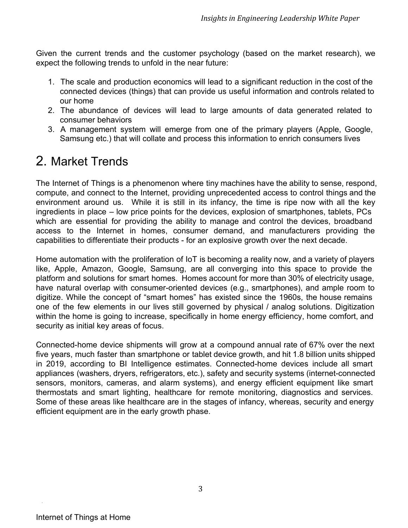Given the current trends and the customer psychology (based on the market research), we expect the following trends to unfold in the near future:

- 1. The scale and production economics will lead to a significant reduction in the cost of the connected devices (things) that can provide us useful information and controls related to our home
- 2. The abundance of devices will lead to large amounts of data generated related to consumer behaviors
- 3. A management system will emerge from one of the primary players (Apple, Google, Samsung etc.) that will collate and process this information to enrich consumers lives

### 2. Market Trends

The Internet of Things is a phenomenon where tiny machines have the ability to sense, respond, compute, and connect to the Internet, providing unprecedented access to control things and the environment around us. While it is still in its infancy, the time is ripe now with all the key ingredients in place – low price points for the devices, explosion of smartphones, tablets, PCs which are essential for providing the ability to manage and control the devices, broadband access to the Internet in homes, consumer demand, and manufacturers providing the capabilities to differentiate their products - for an explosive growth over the next decade.

Home automation with the proliferation of IoT is becoming a reality now, and a variety of players like, Apple, Amazon, Google, Samsung, are all converging into this space to provide the platform and solutions for smart homes. Homes account for more than 30% of electricity usage, have natural overlap with consumer-oriented devices (e.g., smartphones), and ample room to digitize. While the concept of "smart homes" has existed since the 1960s, the house remains one of the few elements in our lives still governed by physical / analog solutions. Digitization within the home is going to increase, specifically in home energy efficiency, home comfort, and security as initial key areas of focus.

Connectedhome device shipments will grow at a compound annual rate of 67% over the next five years, much faster than smartphone or tablet device growth, and hit 1.8 billion units shipped in 2019, according to BI Intelligence estimates. Connected-home devices include all smart appliances (washers, dryers, refrigerators, etc.), safety and security systems (internet-connected sensors, monitors, cameras, and alarm systems), and energy efficient equipment like smart thermostats and smart lighting, healthcare for remote monitoring, diagnostics and services. Some of these areas like healthcare are in the stages of infancy, whereas, security and energy efficient equipment are in the early growth phase.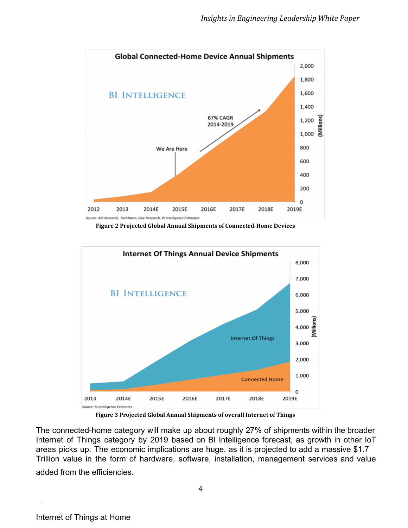

**Figure 2 Projected Global Annual Shipments of Connected-Home Devices**



**Figure 3 Projected Global Annual Shipments of overall Internet of Things**

The connected-home category will make up about roughly 27% of shipments within the broader Internet of Things category by 2019 based on BI Intelligence forecast, as growth in other IoT areas picks up. The economic implications are huge, as it is projected to add a massive \$1.7 Trillion value in the form of hardware, software, installation, management services and value

added from the efficiencies.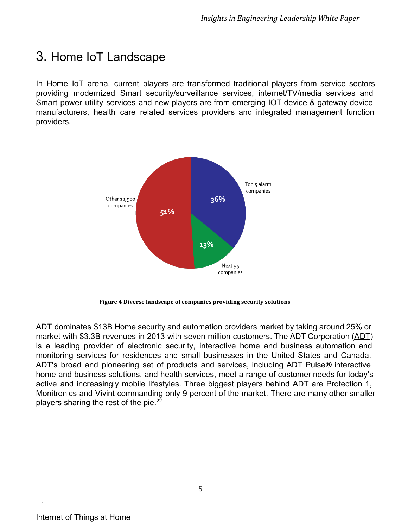### 3. Home IoT Landscape

In Home IoT arena, current players are transformed traditional players from service sectors providing modernized Smart security/surveillance services, internet/TV/media services and Smart power utility services and new players are from emerging IOT device & gateway device manufacturers, health care related services providers and integrated management function providers.



**Figure 4 Diverse landscape of companies providing security solutions**

ADT dominates \$13B Home security and automation providers market by taking around 25% or market with \$3.3B revenues in 2013 with seven million customers. The ADT Corporation ([ADT\)](http://www.google.com/url?q=http%3A%2F%2Ffinance.yahoo.com%2Fq%3Fs%3Dadt&sa=D&sntz=1&usg=AFQjCNF9r3m4Y5NsxMbY82aDWjifYli39A) is a leading provider of electronic security, interactive home and business automation and monitoring services for residences and small businesses in the United States and Canada. ADT's broad and pioneering set of products and services, including ADT Pulse*®* interactive home and business solutions, and health services, meet a range of customer needs for today's active and increasingly mobile lifestyles. Three biggest players behind ADT are Protection 1, Monitronics and Vivint commanding only 9 percent of the market. There are many other smaller players sharing the rest of the pie.<sup>22</sup>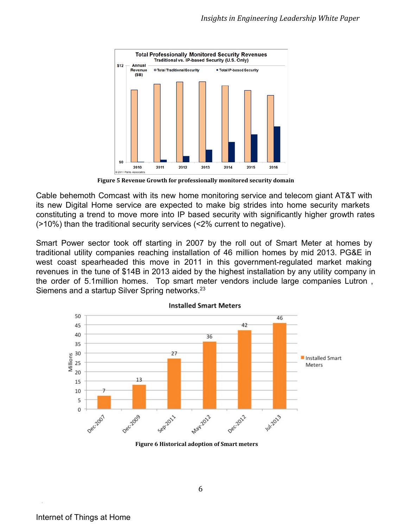

**Figure 5 Revenue Growth for professionally monitored security domain**

Cable behemoth Comcast with its new home monitoring service and telecom giant AT&T with its new Digital Home service are expected to make big strides into home security markets constituting a trend to move more into IP based security with significantly higher growth rates (>10%) than the traditional security services (<2% current to negative).

Smart Power sector took off starting in 2007 by the roll out of Smart Meter at homes by traditional utility companies reaching installation of 46 million homes by mid 2013. PG&E in west coast spearheaded this move in 2011 in this government-regulated market making revenues in the tune of \$14B in 2013 aided by the highest installation by any utility company in the order of 5.1million homes. Top smart meter vendors include large companies Lutron , Siemens and a startup Silver Spring networks.<sup>23</sup>



**Figure 6 Historical adoption of Smart meters**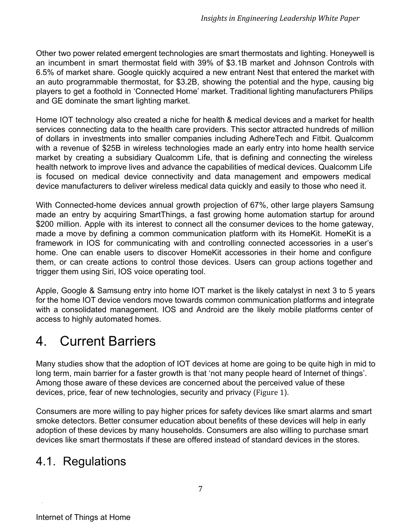Other two power related emergent technologies are smart thermostats and lighting. Honeywell is an incumbent in smart thermostat field with 39% of \$3.1B market and Johnson Controls with 6.5% of market share. Google quickly acquired a new entrant Nest that entered the market with an auto programmable thermostat, for \$3.2B, showing the potential and the hype, causing big players to get a foothold in 'Connected Home' market. Traditional lighting manufacturers Philips and GE dominate the smart lighting market.

Home IOT technology also created a niche for health & medical devices and a market for health services connecting data to the health care providers. This sector attracted hundreds of million of dollars in investments into smaller companies including AdhereTech and Fitbit. Qualcomm with a revenue of \$25B in wireless technologies made an early entry into home health service market by creating a subsidiary Qualcomm Life, that is defining and connecting the wireless health network to improve lives and advance the capabilities of medical devices. Qualcomm Life is focused on medical device connectivity and data management and empowers medical device manufacturers to deliver wireless medical data quickly and easily to those who need it.

With Connected-home devices annual growth projection of 67%, other large players Samsung made an entry by acquiring SmartThings, a fast growing home automation startup for around \$200 million. Apple with its interest to connect all the consumer devices to the home gateway, made a move by defining a common communication platform with its HomeKit. HomeKit is a framework in IOS for communicating with and controlling connected accessories in a user's home. One can enable users to discover HomeKit accessories in their home and configure them, or can create actions to control those devices. Users can group actions together and trigger them using Siri, IOS voice operating tool.

Apple, Google & Samsung entry into home IOT market is the likely catalyst in next 3 to 5 years for the home IOT device vendors move towards common communication platforms and integrate with a consolidated management. IOS and Android are the likely mobile platforms center of access to highly automated homes.

## 4. Current Barriers

Many studies show that the adoption of IOT devices at home are going to be quite high in mid to long term, main barrier for a faster growth is that 'not many people heard of Internet of things'. Among those aware of these devices are concerned about the perceived value of these devices, price, fear of new technologies, security and privacy (Figure 1).

Consumers are more willing to pay higher prices for safety devices like smart alarms and smart smoke detectors. Better consumer education about benefits of these devices will help in early adoption of these devices by many households. Consumers are also willing to purchase smart devices like smart thermostats if these are offered instead of standard devices in the stores.

#### 4.1. Regulations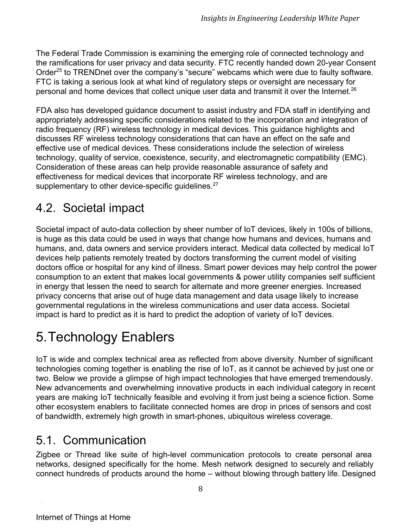The Federal Trade Commission is examining the emerging role of connected technology and the ramifications for user privacy and data security. FTC recently handed down 20-year Consent Order<sup>25</sup> to TRENDnet over the company's "secure" webcams which were due to faulty software. FTC is taking a serious look at what kind of regulatory steps or oversight are necessary for personal and home devices that collect unique user data and transmit it over the Internet.<sup>26</sup>

FDA also has developed guidance document to assist industry and FDA staff in identifying and appropriately addressing specific considerations related to the incorporation and integration of radio frequency (RF) wireless technology in medical devices. This guidance highlights and discusses RF wireless technology considerations that can have an effect on the safe and effective use of medical devices. These considerations include the selection of wireless technology, quality of service, coexistence, security, and electromagnetic compatibility (EMC). Consideration of these areas can help provide reasonable assurance of safety and effectiveness for medical devices that incorporate RF wireless technology, and are supplementary to other device-specific guidelines. $27$ 

### 4.2. Societal impact

Societal impact of auto-data collection by sheer number of IoT devices, likely in 100s of billions, is huge as this data could be used in ways that change how humans and devices, humans and humans, and, data owners and service providers interact. Medical data collected by medical IoT devices help patients remotely treated by doctors transforming the current model of visiting doctors office or hospital for any kind of illness. Smart power devices may help control the power consumption to an extent that makes local governments & power utility companies self sufficient in energy that lessen the need to search for alternate and more greener energies. Increased privacy concerns that arise out of huge data management and data usage likely to increase governmental regulations in the wireless communications and user data access. Societal impact is hard to predict as it is hard to predict the adoption of variety of IoT devices.

# 5.Technology Enablers

IoT is wide and complex technical area as reflected from above diversity. Number of significant technologies coming together is enabling the rise of IoT, as it cannot be achieved by just one or two. Below we provide a glimpse of high impact technologies that have emerged tremendously. New advancements and overwhelming innovative products in each individual category in recent years are making IoT technically feasible and evolving it from just being a science fiction. Some other ecosystem enablers to facilitate connected homes are drop in prices of sensors and cost of bandwidth, extremely high growth in smart-phones, ubiquitous wireless coverage.

### 5.1. Communication

Zigbee or Thread like suite of high-level communication protocols to create personal area networks, designed specifically for the home. Mesh network designed to securely and reliably connect hundreds of products around the home – without blowing through battery life. Designed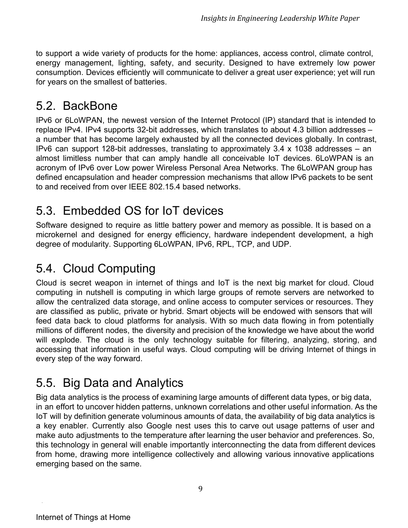to support a wide variety of products for the home: appliances, access control, climate control, energy management, lighting, safety, and security. Designed to have extremely low power consumption. Devices efficiently will communicate to deliver a great user experience; yet will run for years on the smallest of batteries.

#### 5.2. BackBone

IPv6 or 6LoWPAN, the newest version of the Internet Protocol (IP) standard that is intended to replace IPv4. IPv4 supports 32-bit addresses, which translates to about 4.3 billion addresses  $$ a number that has become largely exhausted by all the connected devices globally. In contrast, IPv6 can support 128-bit addresses, translating to approximately 3.4 x 1038 addresses – an almost limitless number that can amply handle all conceivable IoT devices. 6LoWPAN is an acronym of IPv6 over Low power Wireless Personal Area Networks. The 6LoWPAN group has defined encapsulation and header compression mechanisms that allow IPv6 packets to be sent to and received from over IEEE 802.15.4 based networks.

### 5.3. Embedded OS for IoT devices

Software designed to require as little battery power and memory as possible. It is based on a microkernel and designed for energy efficiency, hardware independent development, a high degree of modularity. Supporting 6LoWPAN, IPv6, RPL, TCP, and UDP.

### 5.4. Cloud Computing

Cloud is secret weapon in internet of things and IoT is the next big market for cloud. Cloud computing in nutshell is computing in which large groups of remote servers are [networked](http://www.google.com/url?q=http%3A%2F%2Fen.wikipedia.org%2Fwiki%2FComputer_network&sa=D&sntz=1&usg=AFQjCNHvzXuOAXjnaKlZJ2iZPSE6-8LHYA) to allow the centralized data storage, and online access to computer services or resources. They are classified as public, private or [hybrid.](http://www.google.com/url?q=http%3A%2F%2Fen.wikipedia.org%2Fwiki%2FHybrid_cloud&sa=D&sntz=1&usg=AFQjCNFUEMr-_V3PY3gw_7xOEhuMvQXcSw) Smart objects will be endowed with sensors that will feed data back to cloud platforms for analysis. With so much data flowing in from potentially millions of different nodes, the diversity and precision of the knowledge we have about the world will explode. The cloud is the only technology suitable for filtering, analyzing, storing, and accessing that information in useful ways. Cloud computing will be driving Internet of things in every step of the way forward.

### 5.5. Big Data and Analytics

Big data analytics is the process of examining large amounts of different data types, or big data, in an effort to uncover hidden patterns, unknown correlations and other useful information. As the IoT will by definition generate voluminous amounts of data, the availability of big data analytics is a key enabler. Currently also Google nest uses this to carve out usage patterns of user and make auto adjustments to the temperature after learning the user behavior and preferences. So, this technology in general will enable importantly interconnecting the data from different devices from home, drawing more intelligence collectively and allowing various innovative applications emerging based on the same.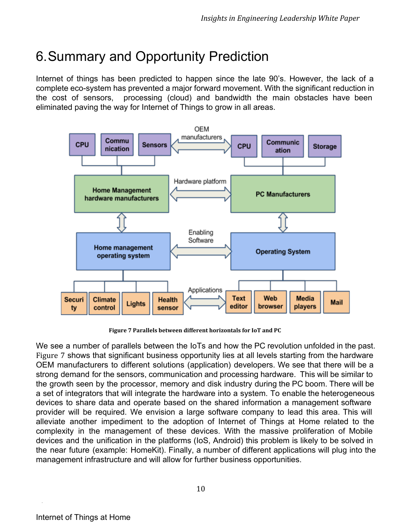# 6.Summary and Opportunity Prediction

Internet of things has been predicted to happen since the late 90's. However, the lack of a complete eco-system has prevented a major forward movement. With the significant reduction in the cost of sensors, processing (cloud) and bandwidth the main obstacles have been eliminated paving the way for Internet of Things to grow in all areas.



**Figure 7 Parallels between different horizontals for IoT and PC**

We see a number of parallels between the IoTs and how the PC revolution unfolded in the past. Figure 7 shows that significant business opportunity lies at all levels starting from the hardware OEM manufacturers to different solutions (application) developers. We see that there will be a strong demand for the sensors, communication and processing hardware. This will be similar to the growth seen by the processor, memory and disk industry during the PC boom. There will be a set of integrators that will integrate the hardware into a system. To enable the heterogeneous devices to share data and operate based on the shared information a management software provider will be required. We envision a large software company to lead this area. This will alleviate another impediment to the adoption of Internet of Things at Home related to the complexity in the management of these devices. With the massive proliferation of Mobile devices and the unification in the platforms (IoS, Android) this problem is likely to be solved in the near future (example: HomeKit). Finally, a number of different applications will plug into the management infrastructure and will allow for further business opportunities.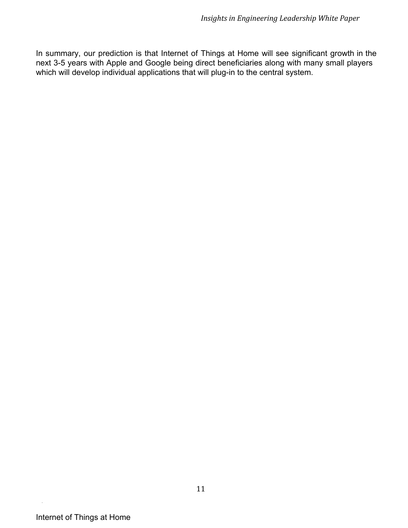In summary, our prediction is that Internet of Things at Home will see significant growth in the next 3-5 years with Apple and Google being direct beneficiaries along with many small players which will develop individual applications that will plug-in to the central system.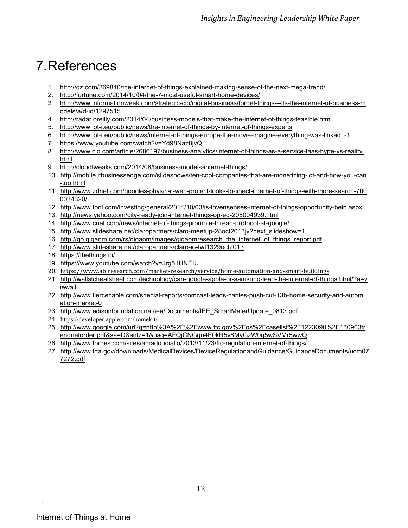# 7.References

- 1. http://gz.com/269840/the-internet-of-things-explained-making-sense-of-the-next-mega-trend/
- 2. http://fortune.com/2014/10/04/the-7-most-useful-smart-home-devices/
- 3. http://www.informationweek.com/strategic-cio/digital-business/forget-things---its-the-internet-of-business-m odels/a/d-id/1297515
- 4. http://radar.oreilly.com/2014/04/business-models-that-make-the-internet-of-things-feasible.html
- 5. http://www.iot-i.eu/public/news/the-internet-of-things-by-internet-of-things-experts
- 6. http://www.iot-i.eu/public/news/internet-of-things-europe-the-movie-imagine-everything-was-linked..-1
- 7. <https://www.youtube.com/watch?v=Yd98Naz8jvQ>
- 8. http://www.cio.com/article/2686197/business-analytics/internet-of-things-as-a-service-taas-hype-vs-reality. [html](http://www.google.com/url?q=http%3A%2F%2Fwww.cio.com%2Farticle%2F2686197%2Fbusiness-analytics%2Finternet-of-things-as-a-service-taas-hype-vs-reality.html&sa=D&sntz=1&usg=AFQjCNH8_lZW9cuQy6ah1psj86u2-rsmrg)
- 9. http://cloudtweaks.com/2014/08/business-models-internet-things/
- 10. http://mobile.itbusinessedge.com/slideshows/ten-cool-companies-that-are-monetizing-iot-and-how-you-can [too.html](http://www.google.com/url?q=http%3A%2F%2Fmobile.itbusinessedge.com%2Fslideshows%2Ften-cool-companies-that-are-monetizing-iot-and-how-you-can-too.html&sa=D&sntz=1&usg=AFQjCNE8Q_wfzPsyfhVRgNSwj6xmdsNkig)
- 11. http://www.zdnet.com/googles-physical-web-project-looks-to-inject-internet-of-things-with-more-search-700 [0034320/](http://www.google.com/url?q=http%3A%2F%2Fwww.zdnet.com%2Fgoogles-physical-web-project-looks-to-inject-internet-of-things-with-more-search-7000034320%2F&sa=D&sntz=1&usg=AFQjCNHnkSbz5O6SsuCmkLcpu0SKT1yDHg)
- 12. http://www.fool.com/investing/general/2014/10/03/is-invensenses-internet-of-things-opportunity-bein.aspx
- 13. http://news.yahoo.com/city-ready-join-internet-things-op-ed-205004939.html
- 14. http://www.cnet.com/news/internet-of-things-promote-thread-protocol-at-google/
- 15. http://www.slideshare.net/claropartners/claro-meetup-28oct2013jv?next\_slideshow=1
- 16. [http://go.gigaom.com/rs/gigaom/images/gigaomresearch\\_the\\_internet\\_of\\_things\\_report.pdf](http://www.google.com/url?q=http%3A%2F%2Fgo.gigaom.com%2Frs%2Fgigaom%2Fimages%2Fgigaomresearch_the_internet_of_things_report.pdf&sa=D&sntz=1&usg=AFQjCNGqTKkH7ZXSwCzF5VoFDiGPeYehxA)
- 17. http://www.slideshare.net/claropartners/claro-io-twf1329oct2013
- 18. [https://thethings.io/](https://www.google.com/url?q=https%3A%2F%2Fthethings.io%2F&sa=D&sntz=1&usg=AFQjCNFHXA5reilmKx8mCxOKt5RQXgu2JA)
- 19. <https://www.youtube.com/watch?v=Jrg5IIHNEIU>
- 20. [https://www.abiresearch.com/market-research/service/home-automation-and-smart-buildings](https://www.google.com/url?q=https%3A%2F%2Fwww.abiresearch.com%2Fmarket-research%2Fservice%2Fhome-automation-and-smart-buildings&sa=D&sntz=1&usg=AFQjCNG4332YzUO7JrNOc45izCDFhoY4yA)
- 21. http://wallstcheatsheet.com/technology/can-google-apple-or-samsung-lead-the-internet-of-thIngs.html/?a=v [iewall](http://www.google.com/url?q=http%3A%2F%2Fwallstcheatsheet.com%2Ftechnology%2Fcan-google-apple-or-samsung-lead-the-internet-of-thIngs.html%2F%3Fa%3Dviewall&sa=D&sntz=1&usg=AFQjCNEpFWrDyVBR_VRarVc6pUMamQf5pg)
- 22. http://www.fiercecable.com/special-reports/comcast-leads-cables-push-cut-13b-home-security-and-autom ation-market-0
- 23. [http://www.edisonfoundation.net/iee/Documents/IEE\\_SmartMeterUpdate\\_0813.pdf](http://www.google.com/url?q=http%3A%2F%2Fwww.edisonfoundation.net%2Fiee%2FDocuments%2FIEE_SmartMeterUpdate_0813.pdf&sa=D&sntz=1&usg=AFQjCNF6aOFiYcph1aMsTawtQ1m1BaCm7Q)
- 24. [https://developer.apple.com/homekit/](https://www.google.com/url?q=https%3A%2F%2Fdeveloper.apple.com%2Fhomekit%2F&sa=D&sntz=1&usg=AFQjCNFtfgcbzNrcZovB6q6YCyrdMopiOw)
- 25. [http://www.google.com/url?q=http%3A%2F%2Fwww.ftc.gov%2Fos%2Fcaselist%2F1223090%2F130903tr](http://www.google.com/url?q=http%3A%2F%2Fwww.ftc.gov%2Fos%2Fcaselist%2F1223090%2F130903trendnetorder.pdf&sa=D&sntz=1&usg=AFQjCNGgn4E0kR5v8MyGzW0q5wSVMr5wwQ) [endnetorder.pdf&sa=D&sntz=1&usg=AFQjCNGgn4E0kR5v8MyGzW0q5wSVMr5wwQ](http://www.google.com/url?q=http%3A%2F%2Fwww.ftc.gov%2Fos%2Fcaselist%2F1223090%2F130903trendnetorder.pdf&sa=D&sntz=1&usg=AFQjCNGgn4E0kR5v8MyGzW0q5wSVMr5wwQ)
- 26. http://www.forbes.com/sites/amadoudiallo/2013/11/23/ftc-regulation-internet-of-things/
- 27. [http://www.fda.gov/downloads/MedicalDevices/DeviceRegulationandGuidance/GuidanceDocuments/ucm07](http://www.google.com/url?q=http%3A%2F%2Fwww.fda.gov%2Fdownloads%2FMedicalDevices%2FDeviceRegulationandGuidance%2FGuidanceDocuments%2Fucm077272.pdf&sa=D&sntz=1&usg=AFQjCNHDsJECnVtHIbAPqAWRCjMmcPx31g) [7272.pdf](http://www.google.com/url?q=http%3A%2F%2Fwww.fda.gov%2Fdownloads%2FMedicalDevices%2FDeviceRegulationandGuidance%2FGuidanceDocuments%2Fucm077272.pdf&sa=D&sntz=1&usg=AFQjCNHDsJECnVtHIbAPqAWRCjMmcPx31g)